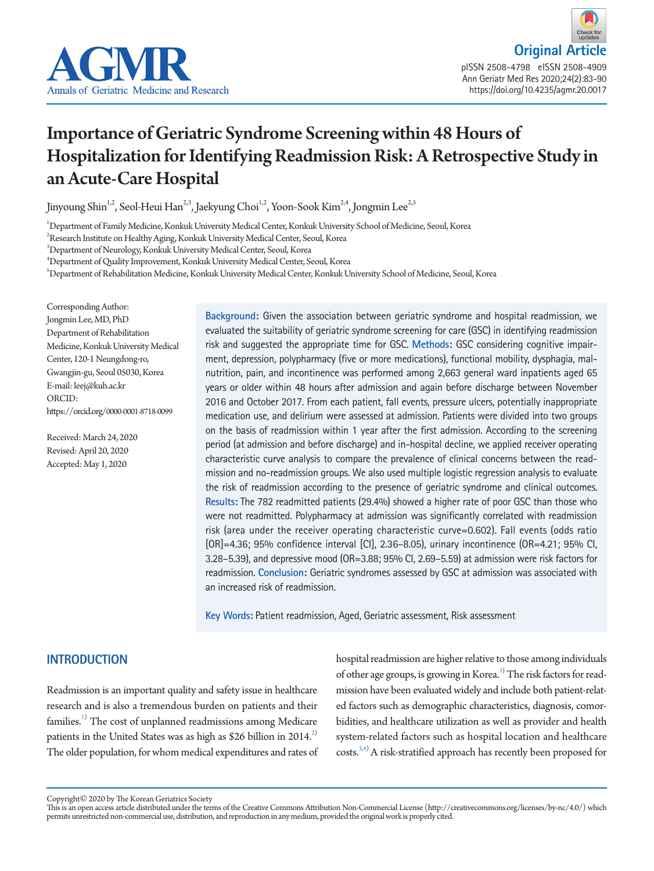



# Importance of Geriatric Syndrome Screening within 48 Hours of Hospitalization for Identifying Readmission Risk: A Retrospective Study in an Acute-Care Hospital

Jinyoung Shin<sup>1,2</sup>, Seol-Heui Han<sup>2,3</sup>, Jaekyung Choi<sup>1,2</sup>, Yoon-Sook Kim<sup>2,4</sup>, Jongmin Lee<sup>2,5</sup>

1 Department of Family Medicine, Konkuk University Medical Center, Konkuk University School of Medicine, Seoul, Korea

 $^2$ Research Institute on Healthy Aging, Konkuk University Medical Center, Seoul, Korea

3 Department of Neurology, Konkuk University Medical Center, Seoul, Korea

4 Department of Quality Improvement, Konkuk University Medical Center, Seoul, Korea

5 Department of Rehabilitation Medicine, Konkuk University Medical Center, Konkuk University School of Medicine, Seoul, Korea

Corresponding Author: Jongmin Lee, MD, PhD Department of Rehabilitation Medicine, Konkuk University Medical Center, 120-1 Neungdong-ro, Gwangjin-gu, Seoul 05030, Korea E-mail: leej@kuh.ac.kr ORCID: https://orcid.org/0000-0001-8718-0099

Received: March 24, 2020 Revised: April 20, 2020 Accepted: May 1, 2020

**Background:** Given the association between geriatric syndrome and hospital readmission, we evaluated the suitability of geriatric syndrome screening for care (GSC) in identifying readmission risk and suggested the appropriate time for GSC. **Methods:** GSC considering cognitive impairment, depression, polypharmacy (five or more medications), functional mobility, dysphagia, malnutrition, pain, and incontinence was performed among 2,663 general ward inpatients aged 65 years or older within 48 hours after admission and again before discharge between November 2016 and October 2017. From each patient, fall events, pressure ulcers, potentially inappropriate medication use, and delirium were assessed at admission. Patients were divided into two groups on the basis of readmission within 1 year after the first admission. According to the screening period (at admission and before discharge) and in-hospital decline, we applied receiver operating characteristic curve analysis to compare the prevalence of clinical concerns between the readmission and no-readmission groups. We also used multiple logistic regression analysis to evaluate the risk of readmission according to the presence of geriatric syndrome and clinical outcomes. **Results:** The 782 readmitted patients (29.4%) showed a higher rate of poor GSC than those who were not readmitted. Polypharmacy at admission was significantly correlated with readmission risk (area under the receiver operating characteristic curve=0.602). Fall events (odds ratio [OR]=4.36; 95% confidence interval [CI], 2.36–8.05), urinary incontinence (OR=4.21; 95% CI, 3.28–5.39), and depressive mood (OR=3.88; 95% CI, 2.69–5.59) at admission were risk factors for readmission. **Conclusion:** Geriatric syndromes assessed by GSC at admission was associated with an increased risk of readmission.

**Key Words:** Patient readmission, Aged, Geriatric assessment, Risk assessment

# **INTRODUCTION**

Readmission is an important quality and safety issue in healthcare research and is also a tremendous burden on patients and their families.<sup>1)</sup> The cost of unplanned readmissions among Medicare patients in the United States was as high as \$26 billion in  $2014$ <sup>[2\)](#page-6-1)</sup> The older population, for whom medical expenditures and rates of hospital readmission are higher relative to those among individuals of other age groups, is growing in Korea.<sup>[3\)](#page-6-2)</sup> The risk factors for readmission have been evaluated widely and include both patient-related factors such as demographic characteristics, diagnosis, comorbidities, and healthcare utilization as well as provider and health system-related factors such as hospital location and healthcare costs.[3](#page-6-2)[,4\)](#page-6-3) A risk-stratified approach has recently been proposed for

Copyright© 2020 by The Korean Geriatrics Society

This is an open access article distributed under the terms of the Creative Commons Attribution Non-Commercial License (http://creativecommons.org/licenses/by-nc/4.0/) which permits unrestricted non-commercial use, distribution, and reproduction in any medium, provided the original work is properly cited.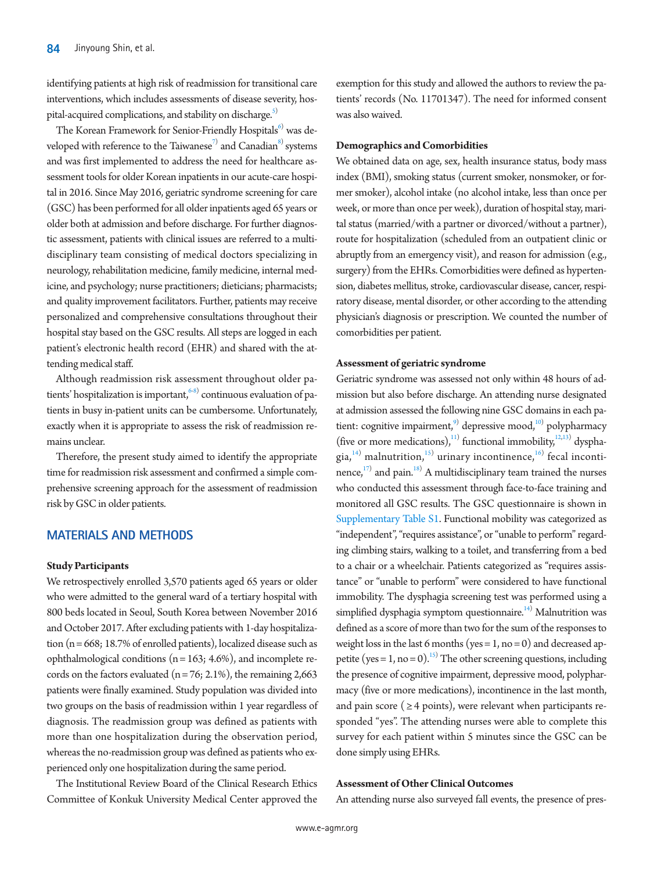identifying patients at high risk of readmission for transitional care interventions, which includes assessments of disease severity, hospital-acquired complications, and stability on discharge.<sup>5)</sup>

The Korean Framework for Senior-Friendly Hospitals<sup>6)</sup> was developed with reference to the Taiwanese<sup>7)</sup> and Canadian $^{\text{\tiny S}}$  systems and was first implemented to address the need for healthcare assessment tools for older Korean inpatients in our acute-care hospital in 2016. Since May 2016, geriatric syndrome screening for care (GSC) has been performed for all older inpatients aged 65 years or older both at admission and before discharge. For further diagnostic assessment, patients with clinical issues are referred to a multidisciplinary team consisting of medical doctors specializing in neurology, rehabilitation medicine, family medicine, internal medicine, and psychology; nurse practitioners; dieticians; pharmacists; and quality improvement facilitators. Further, patients may receive personalized and comprehensive consultations throughout their hospital stay based on the GSC results. All steps are logged in each patient's electronic health record (EHR) and shared with the attending medical staff.

Although readmission risk assessment throughout older patients' hospitalization is important,  $\epsilon^{(8)}$  continuous evaluation of patients in busy in-patient units can be cumbersome. Unfortunately, exactly when it is appropriate to assess the risk of readmission remains unclear.

Therefore, the present study aimed to identify the appropriate time for readmission risk assessment and confirmed a simple comprehensive screening approach for the assessment of readmission risk by GSC in older patients.

# **MATERIALS AND METHODS**

#### **Study Participants**

We retrospectively enrolled 3,570 patients aged 65 years or older who were admitted to the general ward of a tertiary hospital with 800 beds located in Seoul, South Korea between November 2016 and October 2017. After excluding patients with 1-day hospitalization ( $n = 668$ ; 18.7% of enrolled patients), localized disease such as ophthalmological conditions ( $n = 163$ ; 4.6%), and incomplete records on the factors evaluated  $(n = 76; 2.1\%)$ , the remaining 2,663 patients were finally examined. Study population was divided into two groups on the basis of readmission within 1 year regardless of diagnosis. The readmission group was defined as patients with more than one hospitalization during the observation period, whereas the no-readmission group was defined as patients who experienced only one hospitalization during the same period.

The Institutional Review Board of the Clinical Research Ethics Committee of Konkuk University Medical Center approved the

exemption for this study and allowed the authors to review the patients' records (No. 11701347). The need for informed consent was also waived.

### **Demographics and Comorbidities**

We obtained data on age, sex, health insurance status, body mass index (BMI), smoking status (current smoker, nonsmoker, or former smoker), alcohol intake (no alcohol intake, less than once per week, or more than once per week), duration of hospital stay, marital status (married/with a partner or divorced/without a partner), route for hospitalization (scheduled from an outpatient clinic or abruptly from an emergency visit), and reason for admission (e.g., surgery) from the EHRs. Comorbidities were defined as hypertension, diabetes mellitus, stroke, cardiovascular disease, cancer, respiratory disease, mental disorder, or other according to the attending physician's diagnosis or prescription. We counted the number of comorbidities per patient.

#### **Assessment of geriatric syndrome**

Geriatric syndrome was assessed not only within 48 hours of admission but also before discharge. An attending nurse designated at admission assessed the following nine GSC domains in each patient: cognitive impairment, $^{9}$  depressive mood, $^{10}$  polypharmacy (five or more medications),<sup>[11](#page-6-9))</sup> functional immobility,<sup>[12](#page-7-0)[,13](#page-7-1))</sup> dyspha- $\mathrm{gia}^{14)}$  $\mathrm{gia}^{14)}$  $\mathrm{gia}^{14)}$  malnutrition,  $^{15)}$  $^{15)}$  $^{15)}$  urinary incontinence,  $^{16)}$  $^{16)}$  $^{16)}$  fecal incontinence, $17$ ) and pain. $18$ ) A multidisciplinary team trained the nurses who conducted this assessment through face-to-face training and monitored all GSC results. The GSC questionnaire is shown in [Supplementary Table S1.](#page-6-11) Functional mobility was categorized as "independent", "requires assistance", or "unable to perform" regarding climbing stairs, walking to a toilet, and transferring from a bed to a chair or a wheelchair. Patients categorized as "requires assistance" or "unable to perform" were considered to have functional immobility. The dysphagia screening test was performed using a simplified dysphagia symptom questionnaire.<sup>14)</sup> Malnutrition was defined as a score of more than two for the sum of the responses to weight loss in the last 6 months (yes =  $1$ , no = 0) and decreased appetite (yes = 1, no = 0).<sup>15)</sup> The other screening questions, including the presence of cognitive impairment, depressive mood, polypharmacy (five or more medications), incontinence in the last month, and pain score ( $\geq$  4 points), were relevant when participants responded "yes". The attending nurses were able to complete this survey for each patient within 5 minutes since the GSC can be done simply using EHRs.

## **Assessment of Other Clinical Outcomes**

An attending nurse also surveyed fall events, the presence of pres-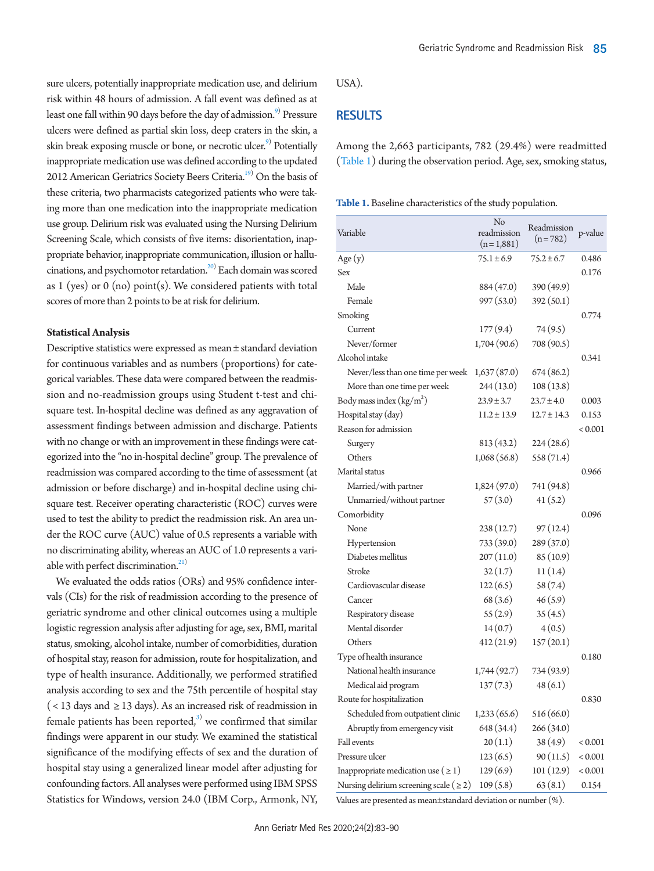sure ulcers, potentially inappropriate medication use, and delirium risk within 48 hours of admission. A fall event was defined as at least one fall within 90 days before the day of admission.<sup>9)</sup> Pressure ulcers were defined as partial skin loss, deep craters in the skin, a skin break exposing muscle or bone, or necrotic ulcer.<sup>9)</sup> Potentially inappropriate medication use was defined according to the updated 2012 American Geriatrics Society Beers Criteria.<sup>19)</sup> On the basis of these criteria, two pharmacists categorized patients who were taking more than one medication into the inappropriate medication use group. Delirium risk was evaluated using the Nursing Delirium Screening Scale, which consists of five items: disorientation, inappropriate behavior, inappropriate communication, illusion or hallucinations, and psychomotor retardation.<sup>20)</sup> Each domain was scored as  $1$  (yes) or  $0$  (no) point(s). We considered patients with total scores of more than 2 points to be at risk for delirium.

### **Statistical Analysis**

Descriptive statistics were expressed as mean ± standard deviation for continuous variables and as numbers (proportions) for categorical variables. These data were compared between the readmission and no-readmission groups using Student t-test and chisquare test. In-hospital decline was defined as any aggravation of assessment findings between admission and discharge. Patients with no change or with an improvement in these findings were categorized into the "no in-hospital decline" group. The prevalence of readmission was compared according to the time of assessment (at admission or before discharge) and in-hospital decline using chisquare test. Receiver operating characteristic (ROC) curves were used to test the ability to predict the readmission risk. An area under the ROC curve (AUC) value of 0.5 represents a variable with no discriminating ability, whereas an AUC of 1.0 represents a variable with perfect discrimination. $^{21)}$  $^{21)}$  $^{21)}$ 

We evaluated the odds ratios (ORs) and 95% confidence intervals (CIs) for the risk of readmission according to the presence of geriatric syndrome and other clinical outcomes using a multiple logistic regression analysis after adjusting for age, sex, BMI, marital status, smoking, alcohol intake, number of comorbidities, duration of hospital stay, reason for admission, route for hospitalization, and type of health insurance. Additionally, we performed stratified analysis according to sex and the 75th percentile of hospital stay  $(< 13$  days and  $\geq 13$  days). As an increased risk of readmission in female patients has been reported, $^{3)}$  we confirmed that similar findings were apparent in our study. We examined the statistical significance of the modifying effects of sex and the duration of hospital stay using a generalized linear model after adjusting for confounding factors. All analyses were performed using IBM SPSS Statistics for Windows, version 24.0 (IBM Corp., Armonk, NY,

USA).

## **RESULTS**

Among the 2,663 participants, 782 (29.4%) were readmitted [\(Table 1](#page-2-0)) during the observation period. Age, sex, smoking status,

<span id="page-2-0"></span>**Table 1.** Baseline characteristics of the study population.

| Variable                                     | No<br>readmission<br>$(n=1,881)$ | Readmission<br>$(n=782)$ | p-value |
|----------------------------------------------|----------------------------------|--------------------------|---------|
| Age $(y)$                                    | $75.1 \pm 6.9$                   | $75.2 \pm 6.7$           | 0.486   |
| Sex                                          |                                  |                          | 0.176   |
| Male                                         | 884 (47.0)                       | 390 (49.9)               |         |
| Female                                       | 997 (53.0)                       | 392 (50.1)               |         |
| Smoking                                      |                                  |                          | 0.774   |
| Current                                      | 177(9.4)                         | 74 (9.5)                 |         |
| Never/former                                 | 1,704(90.6)                      | 708 (90.5)               |         |
| Alcohol intake                               |                                  |                          | 0.341   |
| Never/less than one time per week            | 1,637(87.0)                      | 674(86.2)                |         |
| More than one time per week                  | 244 (13.0)                       | 108(13.8)                |         |
| Body mass index $\left({\rm kg/m^2}\right)$  | $23.9 \pm 3.7$                   | $23.7 \pm 4.0$           | 0.003   |
| Hospital stay (day)                          | $11.2 \pm 13.9$                  | $12.7 \pm 14.3$          | 0.153   |
| Reason for admission                         |                                  |                          | < 0.001 |
| Surgery                                      | 813(43.2)                        | 224(28.6)                |         |
| Others                                       | 1,068(56.8)                      | 558 (71.4)               |         |
| Marital status                               |                                  |                          | 0.966   |
| Married/with partner                         | 1,824(97.0)                      | 741 (94.8)               |         |
| Unmarried/without partner                    | 57(3.0)                          | 41(5.2)                  |         |
| Comorbidity                                  |                                  |                          | 0.096   |
| None                                         | 238(12.7)                        | 97(12.4)                 |         |
| Hypertension                                 | 733(39.0)                        | 289 (37.0)               |         |
| Diabetes mellitus                            | 207(11.0)                        | 85 (10.9)                |         |
| Stroke                                       | 32(1.7)                          | 11(1.4)                  |         |
| Cardiovascular disease                       | 122(6.5)                         | 58(7.4)                  |         |
| Cancer                                       | 68(3.6)                          | 46(5.9)                  |         |
| Respiratory disease                          | 55(2.9)                          | 35(4.5)                  |         |
| Mental disorder                              | 14(0.7)                          | 4(0.5)                   |         |
| Others                                       | 412(21.9)                        | 157(20.1)                |         |
| Type of health insurance                     |                                  |                          | 0.180   |
| National health insurance                    | 1,744(92.7)                      | 734 (93.9)               |         |
| Medical aid program                          | 137(7.3)                         | 48(6.1)                  |         |
| Route for hospitalization                    |                                  |                          | 0.830   |
| Scheduled from outpatient clinic             | 1,233(65.6)                      | 516 (66.0)               |         |
| Abruptly from emergency visit                | 648 (34.4)                       | 266 (34.0)               |         |
| Fall events                                  | 20(1.1)                          | 38(4.9)                  | < 0.001 |
| Pressure ulcer                               | 123(6.5)                         | 90(11.5)                 | < 0.001 |
| Inappropriate medication use $( \geq 1)$     | 129(6.9)                         | 101 (12.9)               | < 0.001 |
| Nursing delirium screening scale ( $\geq$ 2) | 109(5.8)                         | 63(8.1)                  | 0.154   |

Values are presented as mean±standard deviation or number (%).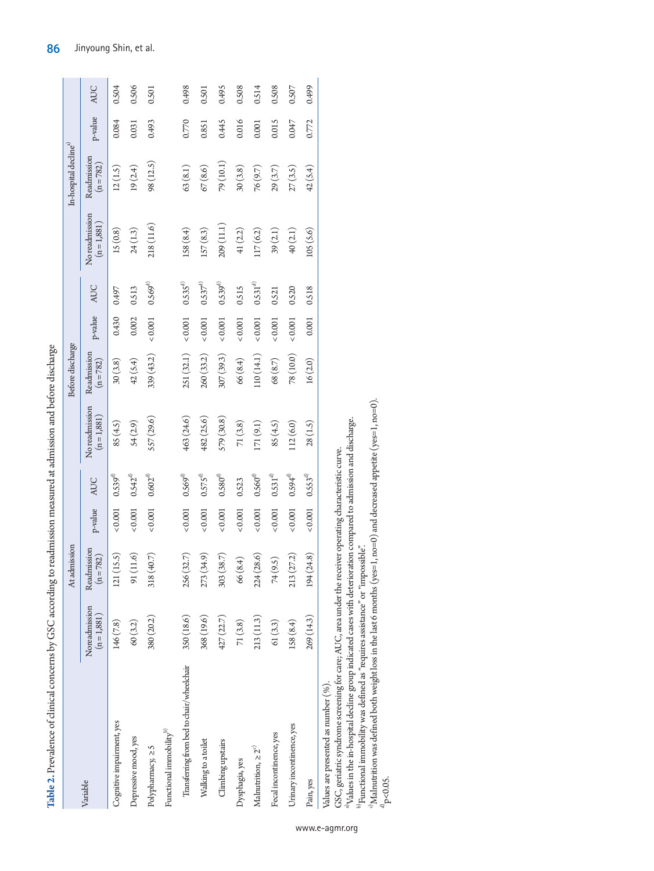| Table 2. Prevalence of clinical concerns by GSC according to readmission measured at admission and before discharge |                              |                            |                |              |                               |                            |               |              |                               |                                   |         |            |
|---------------------------------------------------------------------------------------------------------------------|------------------------------|----------------------------|----------------|--------------|-------------------------------|----------------------------|---------------|--------------|-------------------------------|-----------------------------------|---------|------------|
|                                                                                                                     |                              | At admission               |                |              |                               | Before discharge           |               |              |                               | In-hospital decline <sup>a)</sup> |         |            |
| Variable                                                                                                            | Noreadmission<br>$(n=1,881)$ | Readmission<br>$(n = 782)$ | p-value        | AUC          | No readmission<br>$(n=1,881)$ | Readmission<br>$(n = 782)$ | p-value       | <b>AUC</b>   | No readmission<br>$(n=1,881)$ | Readmission<br>$(n = 782)$        | p-value | <b>AUC</b> |
| Cognitive impairment, yes                                                                                           | 146(7.8)                     | (15.5)<br>121              | < 0.001        | $0.539^{d)}$ | 85(4.5)                       | 30(3.8)                    | 0.430         | 0.497        | 15(0.8)                       | 12(1.5)                           | 0.084   | 0.504      |
| Depressive mood, yes                                                                                                | 60 (3.2)                     | (11.6)<br>91               | &0.001         | $0.542^{d}$  | 54(2.9)                       | 42(5.4)                    | 0.002         | 0.513        | 24(1.3)                       | 19(2.4)                           | 0.031   | 0.506      |
| Polypharmacy, 25                                                                                                    | 380 (20.2)                   | (40.7)<br>318              | &0.001         | $0.602^{d)}$ | SS7 (29.6)                    | 339 (43.2)                 | 0.001         | $0.569^{d)}$ | 218(11.6)                     | 98 (12.5)                         | 0.493   | 0.501      |
| Functional immobility <sup>b)</sup>                                                                                 |                              |                            |                |              |                               |                            |               |              |                               |                                   |         |            |
| Transferring from bed to chair/wheelchair                                                                           | 350 (18.6)                   | (32.7)<br>256              | < 0.001        | $0.569^{d)}$ | 463 (24.6)                    | 251(32.1)                  | $< 0.001$     | $0.535^{d)}$ | 158(8.4)                      | 63(8.1)                           | 0.770   | 0.498      |
| Walking to a toilet                                                                                                 | 368 (19.6)                   | (34.9)<br>273              | 0.001          | $0.575^{d)}$ | 482 (25.6)                    | 260 (33.2)                 | 10001         | $0.537^{d}$  | 157(8.3)                      | $67\, (8.6)$                      | 0.851   | 0.501      |
| Climbing upstairs                                                                                                   | 427 (22.7)                   | (38.7)<br>303              | < 0.001        | $0.580^{d)}$ | 579 (30.8)                    | 307 (39.3)                 | ${}_{<0.001}$ | $0.539^{d)}$ | 209 (11.1)                    | 79 (10.1)                         | 0.445   | 0.495      |
| Dysphagia, yes                                                                                                      | 71(3.8)                      | (8.4)<br>$\widetilde{6}$   | 0.001          | 0.523        | 71(3.8)                       | 66(8.4)                    | 0.001         | 0.515        | 41(2.2)                       | 30(3.8)                           | 0.016   | 0.508      |
| Malnutrition, $\geq 2^{\circ}$                                                                                      | 213 (11.3)                   | (28.6)<br>224(             | < 0.001        | $0.560^{d)}$ | 171 (9.1)                     | 110 (14.1)                 | 0.001         | $0.531^{d)}$ | 117(6.2)                      | 76(9.7)                           | 0.001   | 0.514      |
| Fecal incontinence, yes                                                                                             | 61(3.3)                      | (9.5)<br>74                | 0.001          | $0.531^{d)}$ | 85(4.5)                       | 68 (8.7)                   | 0.001         | 0.521        | 39(2.1)                       | 29(3.7)                           | 0.015   | 0.508      |
| Urinary incontinence, yes                                                                                           | 158(8.4)                     | (27.2)<br>213              | < 0.001        | $0.594^{d)}$ | 112(6.0)                      | 78 (10.0)                  | 0.001         | 0.520        | 40(2.1)                       | 27(3.5)                           | 0.047   | 0.507      |
| Pain, yes                                                                                                           | 269 (14.3)                   | (24.8)<br>194              | ${}_{< 0.001}$ | $0.553^{d)}$ | 28(1.5)                       | 16(2.0)                    | 0.001         | 0.518        | 105(5.6)                      | 42 (5.4)                          | 0.772   | 0.499      |
| Values are presented as number (%).<br>$\frac{1}{2}$                                                                |                              |                            |                |              |                               |                            |               |              |                               |                                   |         |            |

<span id="page-3-0"></span>

GSC, geriatric syndrome screening for care; AUC, area under the receiver operating characteristic curve.<br><sup>a</sup>Values in the in-hospital decline group indicated cases with deterioration compared to admission and discharge.<br><sup></sup> GSC, geriatric syndrome screening for care; AUC, area under the receiver operating characteristic curve.

 $^{43}$ Values in the in-hospital decline group indicated cases with deterioration compared to admission and discharge.

 $^{\rm b)}$ Functional immobility was defined as "requires assistance" or "impossible". c)Malnutrition was defined both weight loss in the last 6 months (yes=1, no=0) and decreased appetite (yes=1, no=0). <sup>o</sup>)<br>Malnutrition was defined both weight loss in the last 6 months (yes=1, no=0) and decreased appetite (yes=1, no=0).<br> ${}^{\rm d}$  p<0.05.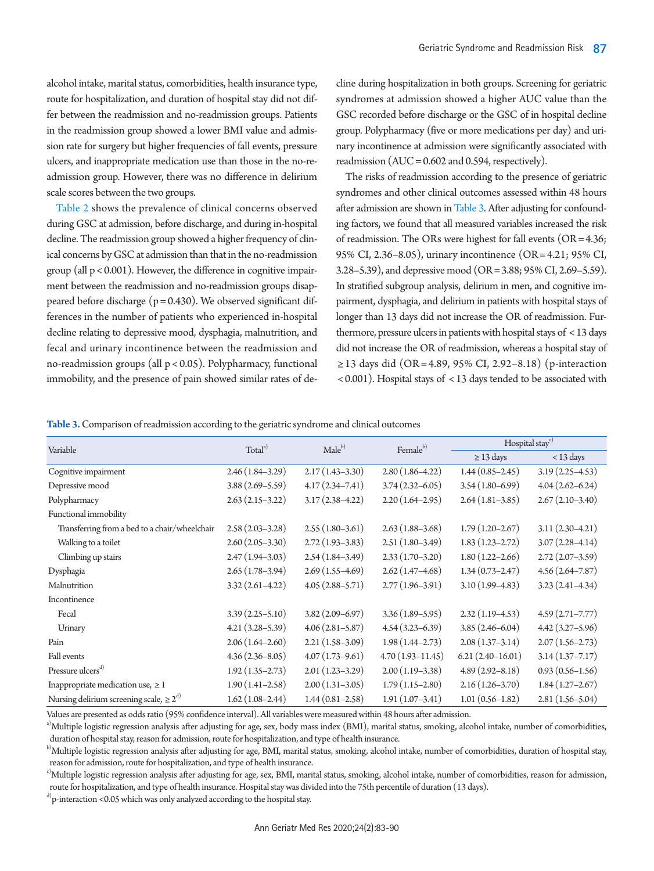alcohol intake, marital status, comorbidities, health insurance type, route for hospitalization, and duration of hospital stay did not differ between the readmission and no-readmission groups. Patients in the readmission group showed a lower BMI value and admission rate for surgery but higher frequencies of fall events, pressure ulcers, and inappropriate medication use than those in the no-readmission group. However, there was no difference in delirium scale scores between the two groups.

[Table 2](#page-3-0) shows the prevalence of clinical concerns observed during GSC at admission, before discharge, and during in-hospital decline. The readmission group showed a higher frequency of clinical concerns by GSC at admission than that in the no-readmission group (all  $p < 0.001$ ). However, the difference in cognitive impairment between the readmission and no-readmission groups disappeared before discharge ( $p = 0.430$ ). We observed significant differences in the number of patients who experienced in-hospital decline relating to depressive mood, dysphagia, malnutrition, and fecal and urinary incontinence between the readmission and no-readmission groups (all p < 0.05). Polypharmacy, functional immobility, and the presence of pain showed similar rates of de-

cline during hospitalization in both groups. Screening for geriatric syndromes at admission showed a higher AUC value than the GSC recorded before discharge or the GSC of in hospital decline group. Polypharmacy (five or more medications per day) and urinary incontinence at admission were significantly associated with readmission  $(AUC = 0.602$  and 0.594, respectively).

The risks of readmission according to the presence of geriatric syndromes and other clinical outcomes assessed within 48 hours after admission are shown in [Table 3.](#page-4-0) After adjusting for confounding factors, we found that all measured variables increased the risk of readmission. The ORs were highest for fall events (OR = 4.36; 95% CI, 2.36–8.05), urinary incontinence (OR = 4.21; 95% CI, 3.28–5.39), and depressive mood (OR = 3.88; 95% CI, 2.69–5.59). In stratified subgroup analysis, delirium in men, and cognitive impairment, dysphagia, and delirium in patients with hospital stays of longer than 13 days did not increase the OR of readmission. Furthermore, pressure ulcers in patients with hospital stays of < 13 days did not increase the OR of readmission, whereas a hospital stay of ≥ 13 days did (OR = 4.89, 95% CI, 2.92–8.18) (p-interaction < 0.001). Hospital stays of < 13 days tended to be associated with

<span id="page-4-0"></span>**Table 3.** Comparison of readmission according to the geriatric syndrome and clinical outcomes

| Variable                                       | Total <sup>a)</sup> | Male <sup>b)</sup>  | Female <sup>b)</sup> | Hospital stay <sup>c)</sup> |                     |
|------------------------------------------------|---------------------|---------------------|----------------------|-----------------------------|---------------------|
|                                                |                     |                     |                      | $\geq$ 13 days              | $<$ 13 days         |
| Cognitive impairment                           | $2.46(1.84 - 3.29)$ | $2.17(1.43 - 3.30)$ | $2.80(1.86 - 4.22)$  | $1.44(0.85-2.45)$           | $3.19(2.25 - 4.53)$ |
| Depressive mood                                | $3.88(2.69 - 5.59)$ | $4.17(2.34 - 7.41)$ | $3.74(2.32 - 6.05)$  | $3.54(1.80-6.99)$           | $4.04(2.62 - 6.24)$ |
| Polypharmacy                                   | $2.63(2.15-3.22)$   | $3.17(2.38 - 4.22)$ | $2.20(1.64 - 2.95)$  | $2.64(1.81-3.85)$           | $2.67(2.10-3.40)$   |
| Functional immobility                          |                     |                     |                      |                             |                     |
| Transferring from a bed to a chair/wheelchair  | $2.58(2.03 - 3.28)$ | $2.55(1.80-3.61)$   | $2.63(1.88-3.68)$    | $1.79(1.20-2.67)$           | $3.11(2.30-4.21)$   |
| Walking to a toilet                            | $2.60(2.05-3.30)$   | $2.72(1.93 - 3.83)$ | $2.51(1.80-3.49)$    | $1.83(1.23 - 2.72)$         | $3.07(2.28 - 4.14)$ |
| Climbing up stairs                             | $2.47(1.94 - 3.03)$ | $2.54(1.84 - 3.49)$ | $2.33(1.70-3.20)$    | $1.80(1.22 - 2.66)$         | $2.72(2.07-3.59)$   |
| Dysphagia                                      | $2.65(1.78-3.94)$   | $2.69(1.55-4.69)$   | $2.62(1.47-4.68)$    | $1.34(0.73 - 2.47)$         | $4.56(2.64 - 7.87)$ |
| Malnutrition                                   | $3.32(2.61-4.22)$   | $4.05(2.88 - 5.71)$ | $2.77(1.96-3.91)$    | $3.10(1.99 - 4.83)$         | $3.23(2.41-4.34)$   |
| Incontinence                                   |                     |                     |                      |                             |                     |
| Fecal                                          | $3.39(2.25 - 5.10)$ | $3.82(2.09 - 6.97)$ | $3.36(1.89 - 5.95)$  | $2.32(1.19-4.53)$           | $4.59(2.71 - 7.77)$ |
| Urinary                                        | $4.21(3.28 - 5.39)$ | $4.06(2.81 - 5.87)$ | $4.54(3.23 - 6.39)$  | $3.85(2.46 - 6.04)$         | $4.42(3.27 - 5.96)$ |
| Pain                                           | $2.06(1.64 - 2.60)$ | $2.21(1.58-3.09)$   | $1.98(1.44 - 2.73)$  | $2.08(1.37-3.14)$           | $2.07(1.56-2.73)$   |
| Fall events                                    | $4.36(2.36 - 8.05)$ | $4.07(1.73-9.61)$   | $4.70(1.93 - 11.45)$ | $6.21(2.40-16.01)$          | $3.14(1.37 - 7.17)$ |
| Pressure ulcers <sup>d)</sup>                  | $1.92(1.35 - 2.73)$ | $2.01(1.23 - 3.29)$ | $2.00(1.19-3.38)$    | $4.89(2.92 - 8.18)$         | $0.93(0.56 - 1.56)$ |
| Inappropriate medication use, $\geq 1$         | $1.90(1.41 - 2.58)$ | $2.00(1.31-3.05)$   | $1.79(1.15-2.80)$    | $2.16(1.26 - 3.70)$         | $1.84(1.27-2.67)$   |
| Nursing delirium screening scale, $\geq 2^{d}$ | $1.62(1.08-2.44)$   | $1.44(0.81 - 2.58)$ | $1.91(1.07-3.41)$    | $1.01(0.56 - 1.82)$         | $2.81(1.56-5.04)$   |

Values are presented as odds ratio (95% confidence interval). All variables were measured within 48 hours after admission.

<sup>a)</sup>Multiple logistic regression analysis after adjusting for age, sex, body mass index (BMI), marital status, smoking, alcohol intake, number of comorbidities, duration of hospital stay, reason for admission, route for hospitalization, and type of health insurance.

 $^{\rm b}$ Multiple logistic regression analysis after adjusting for age, BMI, marital status, smoking, alcohol intake, number of comorbidities, duration of hospital stay, reason for admission, route for hospitalization, and type of health insurance.

 $\cdot$ Multiple logistic regression analysis after adjusting for age, sex, BMI, marital status, smoking, alcohol intake, number of comorbidities, reason for admission, route for hospitalization, and type of health insurance. Hospital stay was divided into the 75th percentile of duration (13 days).

 $\alpha$ <sup>d</sup>) p-interaction <0.05 which was only analyzed according to the hospital stay.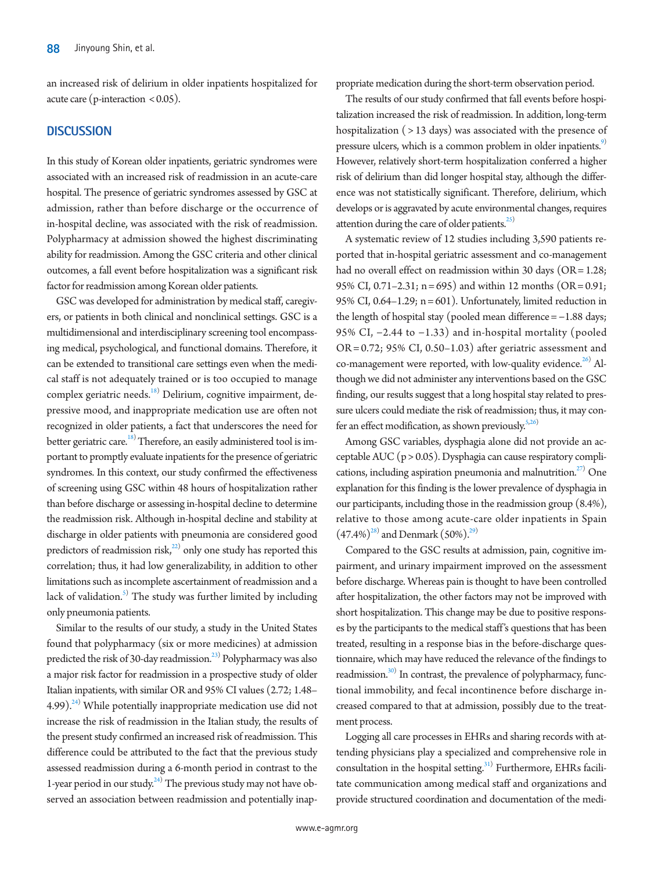an increased risk of delirium in older inpatients hospitalized for acute care (p-interaction < 0.05).

# **DISCUSSION**

In this study of Korean older inpatients, geriatric syndromes were associated with an increased risk of readmission in an acute-care hospital. The presence of geriatric syndromes assessed by GSC at admission, rather than before discharge or the occurrence of in-hospital decline, was associated with the risk of readmission. Polypharmacy at admission showed the highest discriminating ability for readmission. Among the GSC criteria and other clinical outcomes, a fall event before hospitalization was a significant risk factor for readmission among Korean older patients.

GSC was developed for administration by medical staff, caregivers, or patients in both clinical and nonclinical settings. GSC is a multidimensional and interdisciplinary screening tool encompassing medical, psychological, and functional domains. Therefore, it can be extended to transitional care settings even when the medical staff is not adequately trained or is too occupied to manage complex geriatric needs.<sup>18)</sup> Delirium, cognitive impairment, depressive mood, and inappropriate medication use are often not recognized in older patients, a fact that underscores the need for better geriatric care.<sup>18)</sup> Therefore, an easily administered tool is important to promptly evaluate inpatients for the presence of geriatric syndromes. In this context, our study confirmed the effectiveness of screening using GSC within 48 hours of hospitalization rather than before discharge or assessing in-hospital decline to determine the readmission risk. Although in-hospital decline and stability at discharge in older patients with pneumonia are considered good predictors of readmission risk, $^{22)}$  only one study has reported this correlation; thus, it had low generalizability, in addition to other limitations such as incomplete ascertainment of readmission and a lack of validation.<sup>5)</sup> The study was further limited by including only pneumonia patients.

Similar to the results of our study, a study in the United States found that polypharmacy (six or more medicines) at admission predicted the risk of 30-day readmission.<sup>[23](#page-7-9))</sup> Polypharmacy was also a major risk factor for readmission in a prospective study of older Italian inpatients, with similar OR and 95% CI values (2.72; 1.48– 4.99). $^{24)}$  While potentially inappropriate medication use did not increase the risk of readmission in the Italian study, the results of the present study confirmed an increased risk of readmission. This difference could be attributed to the fact that the previous study assessed readmission during a 6-month period in contrast to the 1-year period in our study. $24$ <sup>24</sup>) The previous study may not have observed an association between readmission and potentially inappropriate medication during the short-term observation period.

The results of our study confirmed that fall events before hospitalization increased the risk of readmission. In addition, long-term hospitalization ( > 13 days) was associated with the presence of pressure ulcers, which is a common problem in older inpatients.<sup>9)</sup> However, relatively short-term hospitalization conferred a higher risk of delirium than did longer hospital stay, although the difference was not statistically significant. Therefore, delirium, which develops or is aggravated by acute environmental changes, requires attention during the care of older patients. $^{25)}$ 

A systematic review of 12 studies including 3,590 patients reported that in-hospital geriatric assessment and co-management had no overall effect on readmission within 30 days (OR = 1.28; 95% CI, 0.71–2.31; n = 695) and within 12 months (OR =  $0.91$ ; 95% CI,  $0.64-1.29$ ; n = 601). Unfortunately, limited reduction in the length of hospital stay (pooled mean difference = −1.88 days; 95% CI, −2.44 to −1.33) and in-hospital mortality (pooled OR = 0.72; 95% CI, 0.50–1.03) after geriatric assessment and co-management were reported, with low-quality evidence.<sup>26)</sup> Although we did not administer any interventions based on the GSC finding, our results suggest that a long hospital stay related to pressure ulcers could mediate the risk of readmission; thus, it may con-fer an effect modification, as shown previously.<sup>[5,26](#page-7-9))</sup>

Among GSC variables, dysphagia alone did not provide an acceptable AUC (p > 0.05). Dysphagia can cause respiratory complications, including aspiration pneumonia and malnutrition.<sup>27)</sup> One explanation for this finding is the lower prevalence of dysphagia in our participants, including those in the readmission group (8.4%), relative to those among acute-care older inpatients in Spain  $(47.4%)^{28}$  $(47.4%)^{28}$  $(47.4%)^{28}$  and Denmark  $(50%)^{29}$ .

Compared to the GSC results at admission, pain, cognitive impairment, and urinary impairment improved on the assessment before discharge. Whereas pain is thought to have been controlled after hospitalization, the other factors may not be improved with short hospitalization. This change may be due to positive responses by the participants to the medical staff's questions that has been treated, resulting in a response bias in the before-discharge questionnaire, which may have reduced the relevance of the findings to readmission.<sup>30)</sup> In contrast, the prevalence of polypharmacy, functional immobility, and fecal incontinence before discharge increased compared to that at admission, possibly due to the treatment process.

Logging all care processes in EHRs and sharing records with attending physicians play a specialized and comprehensive role in consultation in the hospital setting.<sup>31)</sup> Furthermore, EHRs facilitate communication among medical staff and organizations and provide structured coordination and documentation of the medi-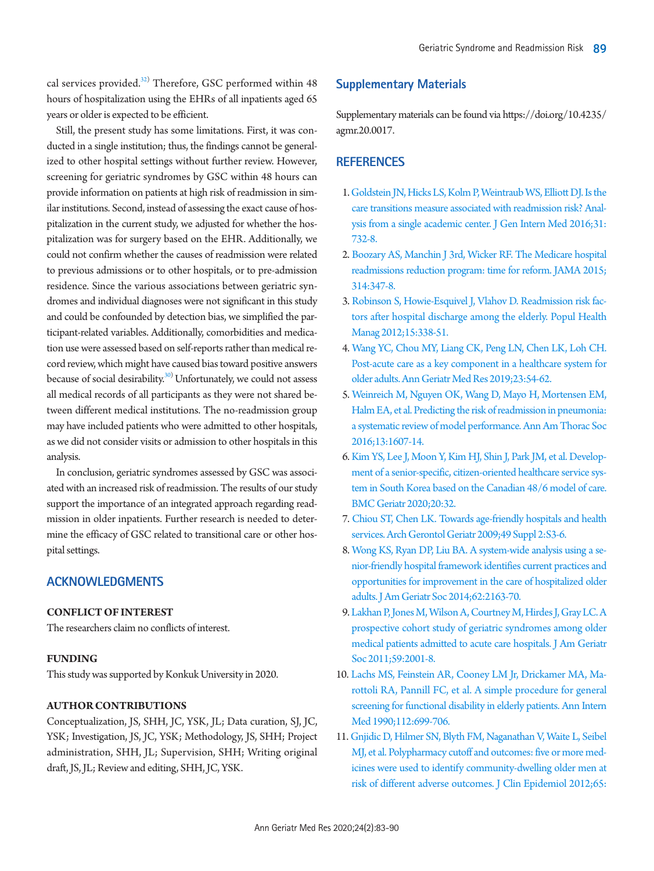cal services provided.<sup>[32\)](#page-7-16)</sup> Therefore, GSC performed within 48 hours of hospitalization using the EHRs of all inpatients aged 65 years or older is expected to be efficient.

Still, the present study has some limitations. First, it was conducted in a single institution; thus, the findings cannot be generalized to other hospital settings without further review. However, screening for geriatric syndromes by GSC within 48 hours can provide information on patients at high risk of readmission in similar institutions. Second, instead of assessing the exact cause of hospitalization in the current study, we adjusted for whether the hospitalization was for surgery based on the EHR. Additionally, we could not confirm whether the causes of readmission were related to previous admissions or to other hospitals, or to pre-admission residence. Since the various associations between geriatric syndromes and individual diagnoses were not significant in this study and could be confounded by detection bias, we simplified the participant-related variables. Additionally, comorbidities and medication use were assessed based on self-reports rather than medical record review, which might have caused bias toward positive answers because of social desirability. $30)$  $30)$  Unfortunately, we could not assess all medical records of all participants as they were not shared between different medical institutions. The no-readmission group may have included patients who were admitted to other hospitals, as we did not consider visits or admission to other hospitals in this analysis.

In conclusion, geriatric syndromes assessed by GSC was associated with an increased risk of readmission. The results of our study support the importance of an integrated approach regarding readmission in older inpatients. Further research is needed to determine the efficacy of GSC related to transitional care or other hospital settings.

# **ACKNOWLEDGMENTS**

#### **CONFLICT OF INTEREST**

The researchers claim no conflicts of interest.

## **FUNDING**

This study was supported by Konkuk University in 2020.

#### **AUTHOR CONTRIBUTIONS**

<span id="page-6-2"></span>Conceptualization, JS, SHH, JC, YSK, JL; Data curation, SJ, JC, YSK; Investigation, JS, JC, YSK; Methodology, JS, SHH; Project administration, SHH, JL; Supervision, SHH; Writing original draft, JS, JL; Review and editing, SHH, JC, YSK.

## <span id="page-6-11"></span>**Supplementary Materials**

Supplementary materials can be found via https://doi.org/10.4235/ agmr.20.0017.

## **REFERENCES**

- <span id="page-6-4"></span><span id="page-6-0"></span>1. Goldstein JN, Hicks LS, Kolm P, Weint[raub WS, Elliott DJ. Is the](https://doi.org/10.1007/s11606-016-3610-9)  [care transitions measure associated with readmission risk? Anal](https://doi.org/10.1007/s11606-016-3610-9)[ysis from a single academic center. J Gen Intern Med 2016;31:](https://doi.org/10.1007/s11606-016-3610-9) [732-8.](https://doi.org/10.1007/s11606-016-3610-9)
- <span id="page-6-1"></span>[2. Boozary AS, Manchin J 3rd, Wicker RF. The Medicare hospital](https://doi.org/10.1001/jama.2015.6507)  [readmissions reduction program: time for reform. JAMA 2015;](https://doi.org/10.1001/jama.2015.6507) [314:347-8](https://doi.org/10.1001/jama.2015.6507).
- 3. [Robinson S, Howie-Esquivel J, Vlahov D. Readmission risk fac](https://doi.org/10.1089/pop.2011.0095)[tors after hospital discharge among the elderly. Popul Health](https://doi.org/10.1089/pop.2011.0095)  [Manag 2012;15:338-51.](https://doi.org/10.1089/pop.2011.0095)
- <span id="page-6-3"></span>[4. Wang YC, Chou MY, Liang CK, Peng LN, Chen LK, Loh CH.](https://doi.org/10.4235/agmr.19.0009)  [Post-acute care as a key component in a healthcare system for](https://doi.org/10.4235/agmr.19.0009)  [older adults. Ann Geriatr Med Res 2019;23:54-62.](https://doi.org/10.4235/agmr.19.0009)
- 5. [Weinreich M, Nguyen OK, Wang D, Mayo H, Mortensen EM,](https://doi.org/10.1513/AnnalsATS.201602-135SR)  [Halm EA, et al. Predicting the risk of readmission in pneumonia:](https://doi.org/10.1513/AnnalsATS.201602-135SR)  [a systematic review of model performance. Ann Am Thorac Soc](https://doi.org/10.1513/AnnalsATS.201602-135SR)  [2016;13:1607-14.](https://doi.org/10.1513/AnnalsATS.201602-135SR)
- <span id="page-6-7"></span><span id="page-6-5"></span>6. Kim YS, Lee J, Moon Y, Kim HJ, Shin J, Park JM, et al. Development of a senior-specific, citizen-oriented healthcare service system in South Korea based on the Canadian 48/6 model of ca[re.](https://www.ncbi.nlm.nih.gov/pubmed/32005155)  [BMC Geriatr 2020;20:32.](https://www.ncbi.nlm.nih.gov/pubmed/32005155)
- <span id="page-6-6"></span>7. [Chiou ST, Chen LK. Towards age-friendly hospitals and health](https://doi.org/10.1016/S0167-4943(09)70004-4)  [services. Arch Gerontol Geriatr 2009;49 Suppl 2:S3-6.](https://doi.org/10.1016/S0167-4943(09)70004-4)
- 8. [Wong KS, Ryan DP, Liu BA. A system-wide analysis using a se](https://doi.org/10.1111/jgs.13097)[nior-friendly hospital framework identifies current practices and](https://doi.org/10.1111/jgs.13097)  [opportunities for improvement in the care of hospitalized older](https://doi.org/10.1111/jgs.13097)  [adults. J Am Geriatr Soc 2014;62:2163-70.](https://doi.org/10.1111/jgs.13097)
- 9. [Lakhan P, Jones M, Wilson A, Courtney M, Hirdes J, Gray LC. A](https://doi.org/10.1111/j.1532-5415.2011.03663.x)  [prospective cohort study of geriatric syndromes among older](https://doi.org/10.1111/j.1532-5415.2011.03663.x)  [medical patients admitted to acute care hospitals. J Am Geriatr](https://doi.org/10.1111/j.1532-5415.2011.03663.x)  [Soc 2011;59:2001-8.](https://doi.org/10.1111/j.1532-5415.2011.03663.x)
- <span id="page-6-8"></span>10. [Lachs MS, Feinstein AR, Cooney LM Jr, Drickamer MA, Ma](https://doi.org/10.7326/0003-4819-112-9-699)[rottoli RA, Pannill FC, et al. A simple procedure for general](https://doi.org/10.7326/0003-4819-112-9-699)  [screening for functional disability in elderly patients. Ann Intern](https://doi.org/10.7326/0003-4819-112-9-699)  [Med 1990;112:699-706.](https://doi.org/10.7326/0003-4819-112-9-699)
- <span id="page-6-10"></span><span id="page-6-9"></span>11. Gnjidic [D, Hilmer SN, Blyth FM, Naganathan V, Waite L, Seibel](https://doi.org/10.1016/j.jclinepi.2012.02.018)  [MJ, et al. Polypharmacy cutoff and outcomes: five or more med](https://doi.org/10.1016/j.jclinepi.2012.02.018)[icines were used to identify community-dwelling older men at](https://doi.org/10.1016/j.jclinepi.2012.02.018)  [risk of different adverse outcomes. J Clin](https://doi.org/10.1016/j.jclinepi.2012.02.018) Epidemiol 2012;65: